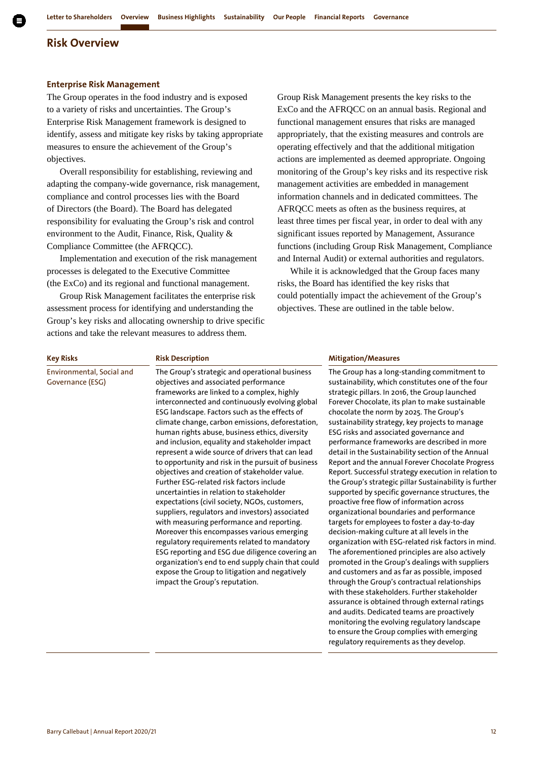#### **Enterprise Risk Management**

The Group operates in the food industry and is exposed to a variety of risks and uncertainties. The Group's Enterprise Risk Management framework is designed to identify, assess and mitigate key risks by taking appropriate measures to ensure the achievement of the Group's objectives.

Overall responsibility for establishing, reviewing and adapting the company-wide governance, risk management, compliance and control processes lies with the Board of Directors (the Board). The Board has delegated responsibility for evaluating the Group's risk and control environment to the Audit, Finance, Risk, Quality & Compliance Committee (the AFRQCC).

Implementation and execution of the risk management processes is delegated to the Executive Committee (the ExCo) and its regional and functional management.

Group Risk Management facilitates the enterprise risk assessment process for identifying and understanding the Group's key risks and allocating ownership to drive specific actions and take the relevant measures to address them.

Group Risk Management presents the key risks to the ExCo and the AFRQCC on an annual basis. Regional and functional management ensures that risks are managed appropriately, that the existing measures and controls are operating effectively and that the additional mitigation actions are implemented as deemed appropriate. Ongoing monitoring of the Group's key risks and its respective risk management activities are embedded in management information channels and in dedicated committees. The AFRQCC meets as often as the business requires, at least three times per fiscal year, in order to deal with any significant issues reported by Management, Assurance functions (including Group Risk Management, Compliance and Internal Audit) or external authorities and regulators.

While it is acknowledged that the Group faces many risks, the Board has identified the key risks that could potentially impact the achievement of the Group's objectives. These are outlined in the table below.

Environmental, Social and Governance (ESG)

The Group's strategic and operational business objectives and associated performance frameworks are linked to a complex, highly interconnected and continuously evolving global ESG landscape. Factors such as the effects of climate change, carbon emissions, deforestation, human rights abuse, business ethics, diversity and inclusion, equality and stakeholder impact represent a wide source of drivers that can lead to opportunity and risk in the pursuit of business objectives and creation of stakeholder value. Further ESG-related risk factors include uncertainties in relation to stakeholder expectations (civil society, NGOs, customers, suppliers, regulators and investors) associated with measuring performance and reporting. Moreover this encompasses various emerging regulatory requirements related to mandatory ESG reporting and ESG due diligence covering an organization's end to end supply chain that could expose the Group to litigation and negatively impact the Group's reputation.

#### **Key Risks Risk Description Mitigation/Measures**

The Group has a long-standing commitment to sustainability, which constitutes one of the four strategic pillars. In 2016, the Group launched Forever Chocolate, its plan to make sustainable chocolate the norm by 2025. The Group's sustainability strategy, key projects to manage ESG risks and associated governance and performance frameworks are described in more detail in the Sustainability section of the Annual Report and the annual Forever Chocolate Progress Report. Successful strategy execution in relation to the Group's strategic pillar Sustainability is further supported by specific governance structures, the proactive free flow of information across organizational boundaries and performance targets for employees to foster a day-to-day decision-making culture at all levels in the organization with ESG-related risk factors in mind. The aforementioned principles are also actively promoted in the Group's dealings with suppliers and customers and as far as possible, imposed through the Group's contractual relationships with these stakeholders. Further stakeholder assurance is obtained through external ratings and audits. Dedicated teams are proactively monitoring the evolving regulatory landscape to ensure the Group complies with emerging regulatory requirements as they develop.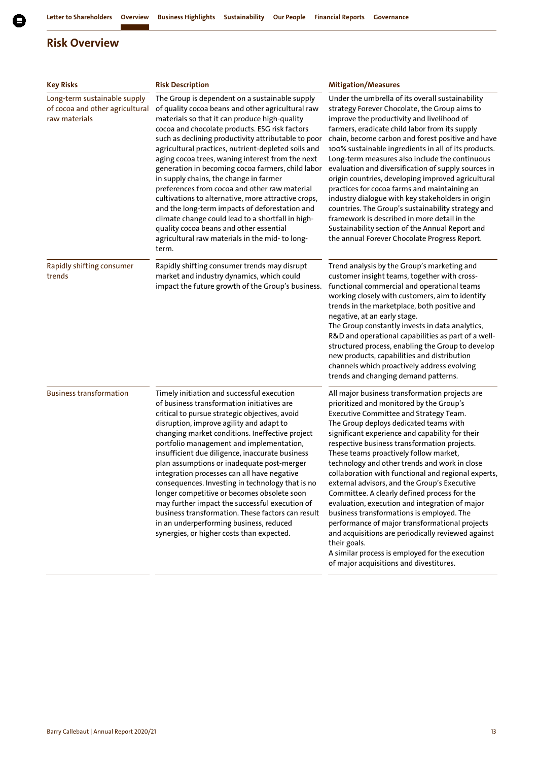| <b>Key Risks</b>                                                                 | <b>Risk Description</b>                                                                                                                                                                                                                                                                                                                                                                                                                                                                                                                                                                                                                                                                                                                                                                       | <b>Mitigation/Measures</b>                                                                                                                                                                                                                                                                                                                                                                                                                                                                                                                                                                                                                                                                                                                                                                                                                               |
|----------------------------------------------------------------------------------|-----------------------------------------------------------------------------------------------------------------------------------------------------------------------------------------------------------------------------------------------------------------------------------------------------------------------------------------------------------------------------------------------------------------------------------------------------------------------------------------------------------------------------------------------------------------------------------------------------------------------------------------------------------------------------------------------------------------------------------------------------------------------------------------------|----------------------------------------------------------------------------------------------------------------------------------------------------------------------------------------------------------------------------------------------------------------------------------------------------------------------------------------------------------------------------------------------------------------------------------------------------------------------------------------------------------------------------------------------------------------------------------------------------------------------------------------------------------------------------------------------------------------------------------------------------------------------------------------------------------------------------------------------------------|
| Long-term sustainable supply<br>of cocoa and other agricultural<br>raw materials | The Group is dependent on a sustainable supply<br>of quality cocoa beans and other agricultural raw<br>materials so that it can produce high-quality<br>cocoa and chocolate products. ESG risk factors<br>such as declining productivity attributable to poor<br>agricultural practices, nutrient-depleted soils and<br>aging cocoa trees, waning interest from the next<br>generation in becoming cocoa farmers, child labor<br>in supply chains, the change in farmer<br>preferences from cocoa and other raw material<br>cultivations to alternative, more attractive crops,<br>and the long-term impacts of deforestation and<br>climate change could lead to a shortfall in high-<br>quality cocoa beans and other essential<br>agricultural raw materials in the mid- to long-<br>term. | Under the umbrella of its overall sustainability<br>strategy Forever Chocolate, the Group aims to<br>improve the productivity and livelihood of<br>farmers, eradicate child labor from its supply<br>chain, become carbon and forest positive and have<br>100% sustainable ingredients in all of its products.<br>Long-term measures also include the continuous<br>evaluation and diversification of supply sources in<br>origin countries, developing improved agricultural<br>practices for cocoa farms and maintaining an<br>industry dialogue with key stakeholders in origin<br>countries. The Group's sustainability strategy and<br>framework is described in more detail in the<br>Sustainability section of the Annual Report and<br>the annual Forever Chocolate Progress Report.                                                             |
| Rapidly shifting consumer<br>trends                                              | Rapidly shifting consumer trends may disrupt<br>market and industry dynamics, which could<br>impact the future growth of the Group's business.                                                                                                                                                                                                                                                                                                                                                                                                                                                                                                                                                                                                                                                | Trend analysis by the Group's marketing and<br>customer insight teams, together with cross-<br>functional commercial and operational teams<br>working closely with customers, aim to identify<br>trends in the marketplace, both positive and<br>negative, at an early stage.<br>The Group constantly invests in data analytics,<br>R&D and operational capabilities as part of a well-<br>structured process, enabling the Group to develop<br>new products, capabilities and distribution<br>channels which proactively address evolving<br>trends and changing demand patterns.                                                                                                                                                                                                                                                                       |
| <b>Business transformation</b>                                                   | Timely initiation and successful execution<br>of business transformation initiatives are<br>critical to pursue strategic objectives, avoid<br>disruption, improve agility and adapt to<br>changing market conditions. Ineffective project<br>portfolio management and implementation,<br>insufficient due diligence, inaccurate business<br>plan assumptions or inadequate post-merger<br>integration processes can all have negative<br>consequences. Investing in technology that is no<br>longer competitive or becomes obsolete soon<br>may further impact the successful execution of<br>business transformation. These factors can result<br>in an underperforming business, reduced<br>synergies, or higher costs than expected.                                                       | All major business transformation projects are<br>prioritized and monitored by the Group's<br>Executive Committee and Strategy Team.<br>The Group deploys dedicated teams with<br>significant experience and capability for their<br>respective business transformation projects.<br>These teams proactively follow market,<br>technology and other trends and work in close<br>collaboration with functional and regional experts,<br>external advisors, and the Group's Executive<br>Committee. A clearly defined process for the<br>evaluation, execution and integration of major<br>business transformations is employed. The<br>performance of major transformational projects<br>and acquisitions are periodically reviewed against<br>their goals.<br>A similar process is employed for the execution<br>of major acquisitions and divestitures. |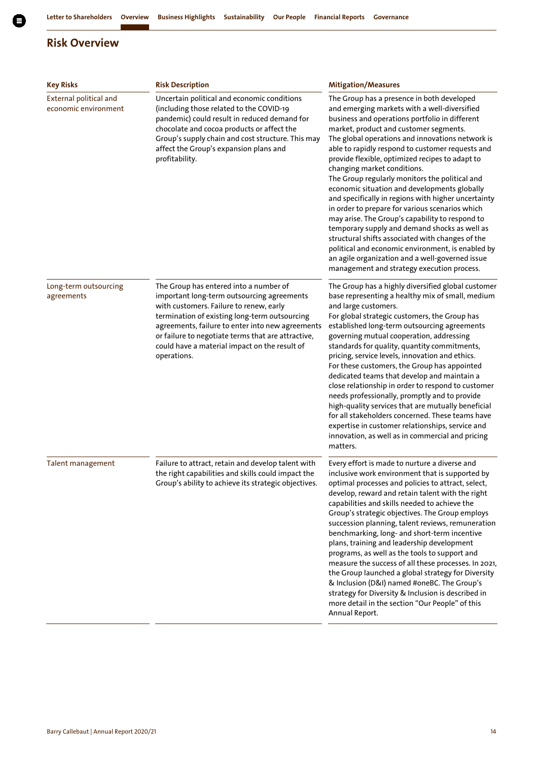

| <b>Key Risks</b>                               | <b>Risk Description</b>                                                                                                                                                                                                                                                                                                                                    | <b>Mitigation/Measures</b>                                                                                                                                                                                                                                                                                                                                                                                                                                                                                                                                                                                                                                                                                                                                                                                                                                                                                 |
|------------------------------------------------|------------------------------------------------------------------------------------------------------------------------------------------------------------------------------------------------------------------------------------------------------------------------------------------------------------------------------------------------------------|------------------------------------------------------------------------------------------------------------------------------------------------------------------------------------------------------------------------------------------------------------------------------------------------------------------------------------------------------------------------------------------------------------------------------------------------------------------------------------------------------------------------------------------------------------------------------------------------------------------------------------------------------------------------------------------------------------------------------------------------------------------------------------------------------------------------------------------------------------------------------------------------------------|
| External political and<br>economic environment | Uncertain political and economic conditions<br>(including those related to the COVID-19<br>pandemic) could result in reduced demand for<br>chocolate and cocoa products or affect the<br>Group's supply chain and cost structure. This may<br>affect the Group's expansion plans and<br>profitability.                                                     | The Group has a presence in both developed<br>and emerging markets with a well-diversified<br>business and operations portfolio in different<br>market, product and customer segments.<br>The global operations and innovations network is<br>able to rapidly respond to customer requests and<br>provide flexible, optimized recipes to adapt to<br>changing market conditions.<br>The Group regularly monitors the political and<br>economic situation and developments globally<br>and specifically in regions with higher uncertainty<br>in order to prepare for various scenarios which<br>may arise. The Group's capability to respond to<br>temporary supply and demand shocks as well as<br>structural shifts associated with changes of the<br>political and economic environment, is enabled by<br>an agile organization and a well-governed issue<br>management and strategy execution process. |
| Long-term outsourcing<br>agreements            | The Group has entered into a number of<br>important long-term outsourcing agreements<br>with customers. Failure to renew, early<br>termination of existing long-term outsourcing<br>agreements, failure to enter into new agreements<br>or failure to negotiate terms that are attractive,<br>could have a material impact on the result of<br>operations. | The Group has a highly diversified global customer<br>base representing a healthy mix of small, medium<br>and large customers.<br>For global strategic customers, the Group has<br>established long-term outsourcing agreements<br>governing mutual cooperation, addressing<br>standards for quality, quantity commitments,<br>pricing, service levels, innovation and ethics.<br>For these customers, the Group has appointed<br>dedicated teams that develop and maintain a<br>close relationship in order to respond to customer<br>needs professionally, promptly and to provide<br>high-quality services that are mutually beneficial<br>for all stakeholders concerned. These teams have<br>expertise in customer relationships, service and<br>innovation, as well as in commercial and pricing<br>matters.                                                                                         |
| <b>Talent management</b>                       | Failure to attract, retain and develop talent with<br>the right capabilities and skills could impact the<br>Group's ability to achieve its strategic objectives.                                                                                                                                                                                           | Every effort is made to nurture a diverse and<br>inclusive work environment that is supported by<br>optimal processes and policies to attract, select,<br>develop, reward and retain talent with the right<br>capabilities and skills needed to achieve the<br>Group's strategic objectives. The Group employs<br>succession planning, talent reviews, remuneration<br>benchmarking, long- and short-term incentive<br>plans, training and leadership development<br>programs, as well as the tools to support and<br>measure the success of all these processes. In 2021,<br>the Group launched a global strategy for Diversity<br>& Inclusion (D&I) named #oneBC. The Group's<br>strategy for Diversity & Inclusion is described in<br>more detail in the section "Our People" of this<br>Annual Report.                                                                                                 |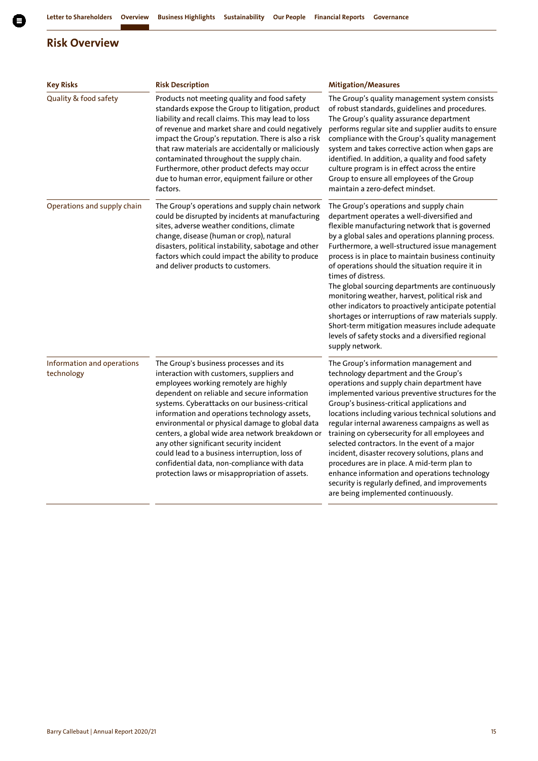| <b>Key Risks</b>                         | <b>Risk Description</b>                                                                                                                                                                                                                                                                                                                                                                                                                                                                                                                                                              | <b>Mitigation/Measures</b>                                                                                                                                                                                                                                                                                                                                                                                                                                                                                                                                                                                                                                                                                                           |
|------------------------------------------|--------------------------------------------------------------------------------------------------------------------------------------------------------------------------------------------------------------------------------------------------------------------------------------------------------------------------------------------------------------------------------------------------------------------------------------------------------------------------------------------------------------------------------------------------------------------------------------|--------------------------------------------------------------------------------------------------------------------------------------------------------------------------------------------------------------------------------------------------------------------------------------------------------------------------------------------------------------------------------------------------------------------------------------------------------------------------------------------------------------------------------------------------------------------------------------------------------------------------------------------------------------------------------------------------------------------------------------|
| Quality & food safety                    | Products not meeting quality and food safety<br>standards expose the Group to litigation, product<br>liability and recall claims. This may lead to loss<br>of revenue and market share and could negatively<br>impact the Group's reputation. There is also a risk<br>that raw materials are accidentally or maliciously<br>contaminated throughout the supply chain.<br>Furthermore, other product defects may occur<br>due to human error, equipment failure or other<br>factors.                                                                                                  | The Group's quality management system consists<br>of robust standards, guidelines and procedures.<br>The Group's quality assurance department<br>performs regular site and supplier audits to ensure<br>compliance with the Group's quality management<br>system and takes corrective action when gaps are<br>identified. In addition, a quality and food safety<br>culture program is in effect across the entire<br>Group to ensure all employees of the Group<br>maintain a zero-defect mindset.                                                                                                                                                                                                                                  |
| Operations and supply chain              | The Group's operations and supply chain network<br>could be disrupted by incidents at manufacturing<br>sites, adverse weather conditions, climate<br>change, disease (human or crop), natural<br>disasters, political instability, sabotage and other<br>factors which could impact the ability to produce<br>and deliver products to customers.                                                                                                                                                                                                                                     | The Group's operations and supply chain<br>department operates a well-diversified and<br>flexible manufacturing network that is governed<br>by a global sales and operations planning process.<br>Furthermore, a well-structured issue management<br>process is in place to maintain business continuity<br>of operations should the situation require it in<br>times of distress.<br>The global sourcing departments are continuously<br>monitoring weather, harvest, political risk and<br>other indicators to proactively anticipate potential<br>shortages or interruptions of raw materials supply.<br>Short-term mitigation measures include adequate<br>levels of safety stocks and a diversified regional<br>supply network. |
| Information and operations<br>technology | The Group's business processes and its<br>interaction with customers, suppliers and<br>employees working remotely are highly<br>dependent on reliable and secure information<br>systems. Cyberattacks on our business-critical<br>information and operations technology assets,<br>environmental or physical damage to global data<br>centers, a global wide area network breakdown or<br>any other significant security incident<br>could lead to a business interruption, loss of<br>confidential data, non-compliance with data<br>protection laws or misappropriation of assets. | The Group's information management and<br>technology department and the Group's<br>operations and supply chain department have<br>implemented various preventive structures for the<br>Group's business-critical applications and<br>locations including various technical solutions and<br>regular internal awareness campaigns as well as<br>training on cybersecurity for all employees and<br>selected contractors. In the event of a major<br>incident, disaster recovery solutions, plans and<br>procedures are in place. A mid-term plan to<br>enhance information and operations technology<br>security is regularly defined, and improvements<br>are being implemented continuously.                                        |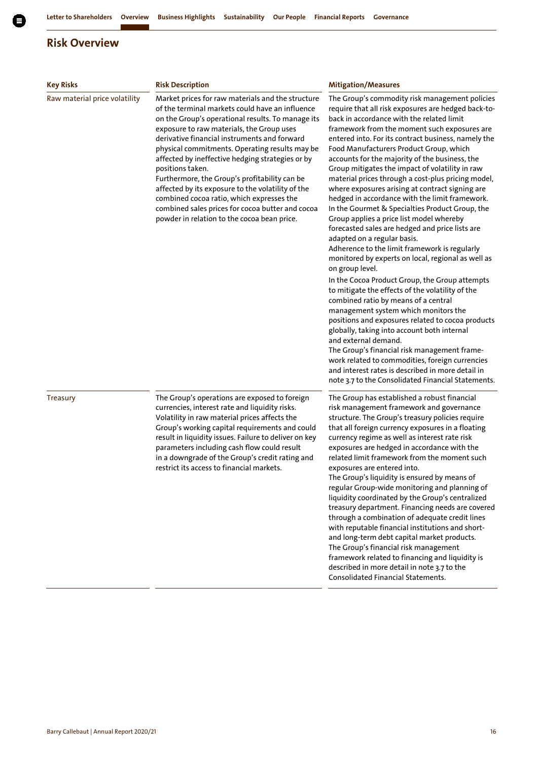| <b>Key Risks</b>              | <b>Risk Description</b>                                                                                                                                                                                                                                                                                                                                                                                                                                                                                                                                                                                                                | <b>Mitigation/Measures</b>                                                                                                                                                                                                                                                                                                                                                                                                                                                                                                                                                                                                                                                                                                                                                                                                                                                                                                                                                                                                                                                                                                                                                                                                                                                                                                                                                                                      |
|-------------------------------|----------------------------------------------------------------------------------------------------------------------------------------------------------------------------------------------------------------------------------------------------------------------------------------------------------------------------------------------------------------------------------------------------------------------------------------------------------------------------------------------------------------------------------------------------------------------------------------------------------------------------------------|-----------------------------------------------------------------------------------------------------------------------------------------------------------------------------------------------------------------------------------------------------------------------------------------------------------------------------------------------------------------------------------------------------------------------------------------------------------------------------------------------------------------------------------------------------------------------------------------------------------------------------------------------------------------------------------------------------------------------------------------------------------------------------------------------------------------------------------------------------------------------------------------------------------------------------------------------------------------------------------------------------------------------------------------------------------------------------------------------------------------------------------------------------------------------------------------------------------------------------------------------------------------------------------------------------------------------------------------------------------------------------------------------------------------|
| Raw material price volatility | Market prices for raw materials and the structure<br>of the terminal markets could have an influence<br>on the Group's operational results. To manage its<br>exposure to raw materials, the Group uses<br>derivative financial instruments and forward<br>physical commitments. Operating results may be<br>affected by ineffective hedging strategies or by<br>positions taken.<br>Furthermore, the Group's profitability can be<br>affected by its exposure to the volatility of the<br>combined cocoa ratio, which expresses the<br>combined sales prices for cocoa butter and cocoa<br>powder in relation to the cocoa bean price. | The Group's commodity risk management policies<br>require that all risk exposures are hedged back-to-<br>back in accordance with the related limit<br>framework from the moment such exposures are<br>entered into. For its contract business, namely the<br>Food Manufacturers Product Group, which<br>accounts for the majority of the business, the<br>Group mitigates the impact of volatility in raw<br>material prices through a cost-plus pricing model,<br>where exposures arising at contract signing are<br>hedged in accordance with the limit framework.<br>In the Gourmet & Specialties Product Group, the<br>Group applies a price list model whereby<br>forecasted sales are hedged and price lists are<br>adapted on a regular basis.<br>Adherence to the limit framework is regularly<br>monitored by experts on local, regional as well as<br>on group level.<br>In the Cocoa Product Group, the Group attempts<br>to mitigate the effects of the volatility of the<br>combined ratio by means of a central<br>management system which monitors the<br>positions and exposures related to cocoa products<br>globally, taking into account both internal<br>and external demand.<br>The Group's financial risk management frame-<br>work related to commodities, foreign currencies<br>and interest rates is described in more detail in<br>note 3.7 to the Consolidated Financial Statements. |
| <b>Treasury</b>               | The Group's operations are exposed to foreign<br>currencies, interest rate and liquidity risks.<br>Volatility in raw material prices affects the<br>Group's working capital requirements and could<br>result in liquidity issues. Failure to deliver on key<br>parameters including cash flow could result<br>in a downgrade of the Group's credit rating and<br>restrict its access to financial markets.                                                                                                                                                                                                                             | The Group has established a robust financial<br>risk management framework and governance<br>structure. The Group's treasury policies require<br>that all foreign currency exposures in a floating<br>currency regime as well as interest rate risk<br>exposures are hedged in accordance with the<br>related limit framework from the moment such<br>exposures are entered into.<br>The Group's liquidity is ensured by means of<br>regular Group-wide monitoring and planning of<br>liquidity coordinated by the Group's centralized<br>treasury department. Financing needs are covered<br>through a combination of adequate credit lines<br>with reputable financial institutions and short-<br>and long-term debt capital market products.<br>The Group's financial risk management<br>framework related to financing and liquidity is<br>described in more detail in note 3.7 to the<br>Consolidated Financial Statements.                                                                                                                                                                                                                                                                                                                                                                                                                                                                                 |